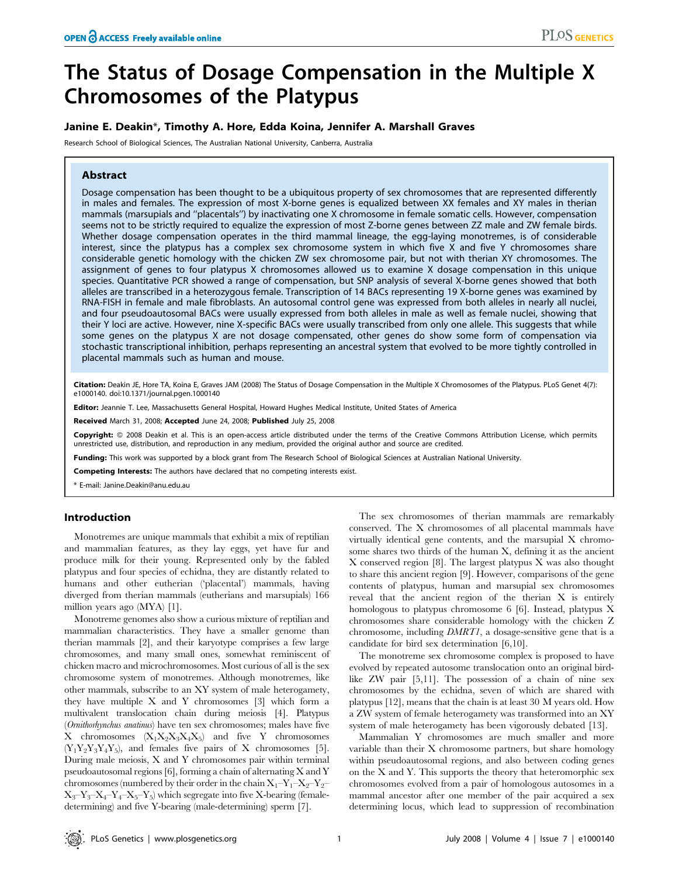# The Status of Dosage Compensation in the Multiple X Chromosomes of the Platypus

# Janine E. Deakin\*, Timothy A. Hore, Edda Koina, Jennifer A. Marshall Graves

Research School of Biological Sciences, The Australian National University, Canberra, Australia

# Abstract

Dosage compensation has been thought to be a ubiquitous property of sex chromosomes that are represented differently in males and females. The expression of most X-borne genes is equalized between XX females and XY males in therian mammals (marsupials and ''placentals'') by inactivating one X chromosome in female somatic cells. However, compensation seems not to be strictly required to equalize the expression of most Z-borne genes between ZZ male and ZW female birds. Whether dosage compensation operates in the third mammal lineage, the egg-laying monotremes, is of considerable interest, since the platypus has a complex sex chromosome system in which five X and five Y chromosomes share considerable genetic homology with the chicken ZW sex chromosome pair, but not with therian XY chromosomes. The assignment of genes to four platypus X chromosomes allowed us to examine X dosage compensation in this unique species. Quantitative PCR showed a range of compensation, but SNP analysis of several X-borne genes showed that both alleles are transcribed in a heterozygous female. Transcription of 14 BACs representing 19 X-borne genes was examined by RNA-FISH in female and male fibroblasts. An autosomal control gene was expressed from both alleles in nearly all nuclei, and four pseudoautosomal BACs were usually expressed from both alleles in male as well as female nuclei, showing that their Y loci are active. However, nine X-specific BACs were usually transcribed from only one allele. This suggests that while some genes on the platypus X are not dosage compensated, other genes do show some form of compensation via stochastic transcriptional inhibition, perhaps representing an ancestral system that evolved to be more tightly controlled in placental mammals such as human and mouse.

Citation: Deakin JE, Hore TA, Koina E, Graves JAM (2008) The Status of Dosage Compensation in the Multiple X Chromosomes of the Platypus. PLoS Genet 4(7): e1000140. doi:10.1371/journal.pgen.1000140

Editor: Jeannie T. Lee, Massachusetts General Hospital, Howard Hughes Medical Institute, United States of America

Received March 31, 2008; Accepted June 24, 2008; Published July 25, 2008

Copyright: @ 2008 Deakin et al. This is an open-access article distributed under the terms of the Creative Commons Attribution License, which permits unrestricted use, distribution, and reproduction in any medium, provided the original author and source are credited.

Funding: This work was supported by a block grant from The Research School of Biological Sciences at Australian National University.

Competing Interests: The authors have declared that no competing interests exist.

\* E-mail: Janine.Deakin@anu.edu.au

# Introduction

Monotremes are unique mammals that exhibit a mix of reptilian and mammalian features, as they lay eggs, yet have fur and produce milk for their young. Represented only by the fabled platypus and four species of echidna, they are distantly related to humans and other eutherian ('placental') mammals, having diverged from therian mammals (eutherians and marsupials) 166 million years ago (MYA) [1].

Monotreme genomes also show a curious mixture of reptilian and mammalian characteristics. They have a smaller genome than therian mammals [2], and their karyotype comprises a few large chromosomes, and many small ones, somewhat reminiscent of chicken macro and microchromosomes. Most curious of all is the sex chromosome system of monotremes. Although monotremes, like other mammals, subscribe to an XY system of male heterogamety, they have multiple X and Y chromosomes [3] which form a multivalent translocation chain during meiosis [4]. Platypus (Ornithorhynchus anatinus) have ten sex chromosomes; males have five X chromosomes  $(X_1X_2X_3X_4X_5)$  and five Y chromosomes  $(Y_1Y_2Y_3Y_4Y_5)$ , and females five pairs of X chromosomes [5]. During male meiosis, X and Y chromosomes pair within terminal pseudoautosomal regions [6], forming a chain of alternating X and Y chromosomes (numbered by their order in the chain  $X_1-Y_1-X_2-Y_2 X_3-Y_3-X_4-Y_4-X_5-Y_5$ ) which segregate into five X-bearing (femaledetermining) and five Y-bearing (male-determining) sperm [7].

The sex chromosomes of therian mammals are remarkably conserved. The X chromosomes of all placental mammals have virtually identical gene contents, and the marsupial X chromosome shares two thirds of the human X, defining it as the ancient X conserved region [8]. The largest platypus X was also thought to share this ancient region [9]. However, comparisons of the gene contents of platypus, human and marsupial sex chromosomes reveal that the ancient region of the therian X is entirely homologous to platypus chromosome 6 [6]. Instead, platypus X chromosomes share considerable homology with the chicken Z chromosome, including DMRT1, a dosage-sensitive gene that is a candidate for bird sex determination [6,10].

The monotreme sex chromosome complex is proposed to have evolved by repeated autosome translocation onto an original birdlike ZW pair [5,11]. The possession of a chain of nine sex chromosomes by the echidna, seven of which are shared with platypus [12], means that the chain is at least 30 M years old. How a ZW system of female heterogamety was transformed into an XY system of male heterogamety has been vigorously debated [13].

Mammalian Y chromosomes are much smaller and more variable than their X chromosome partners, but share homology within pseudoautosomal regions, and also between coding genes on the X and Y. This supports the theory that heteromorphic sex chromosomes evolved from a pair of homologous autosomes in a mammal ancestor after one member of the pair acquired a sex determining locus, which lead to suppression of recombination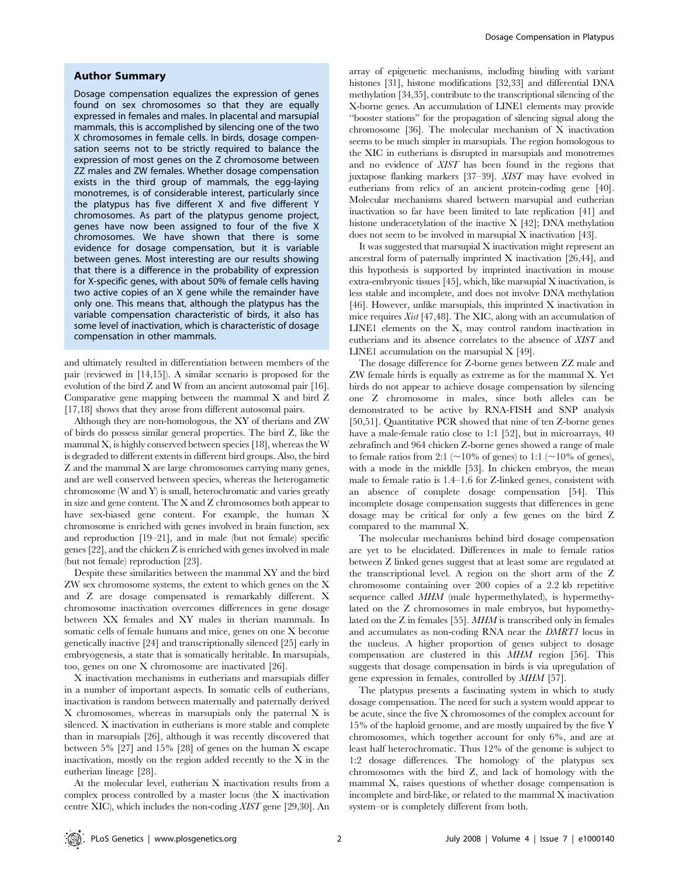## Author Summary

Dosage compensation equalizes the expression of genes found on sex chromosomes so that they are equally expressed in females and males. In placental and marsupial mammals, this is accomplished by silencing one of the two X chromosomes in female cells. In birds, dosage compensation seems not to be strictly required to balance the expression of most genes on the Z chromosome between ZZ males and ZW females. Whether dosage compensation exists in the third group of mammals, the egg-laying monotremes, is of considerable interest, particularly since the platypus has five different X and five different Y chromosomes. As part of the platypus genome project, genes have now been assigned to four of the five X chromosomes. We have shown that there is some evidence for dosage compensation, but it is variable between genes. Most interesting are our results showing that there is a difference in the probability of expression for X-specific genes, with about 50% of female cells having two active copies of an X gene while the remainder have only one. This means that, although the platypus has the variable compensation characteristic of birds, it also has some level of inactivation, which is characteristic of dosage compensation in other mammals.

and ultimately resulted in differentiation between members of the pair (reviewed in [14,15]). A similar scenario is proposed for the evolution of the bird Z and W from an ancient autosomal pair [16]. Comparative gene mapping between the mammal X and bird Z [17,18] shows that they arose from different autosomal pairs.

Although they are non-homologous, the XY of therians and ZW of birds do possess similar general properties. The bird Z, like the mammal X, is highly conserved between species [18], whereas the W is degraded to different extents in different bird groups. Also, the bird Z and the mammal X are large chromosomes carrying many genes, and are well conserved between species, whereas the heterogametic chromosome (W and Y) is small, heterochromatic and varies greatly in size and gene content. The X and Z chromosomes both appear to have sex-biased gene content. For example, the human X chromosome is enriched with genes involved in brain function, sex and reproduction [19–21], and in male (but not female) specific genes [22], and the chicken Z is enriched with genes involved in male (but not female) reproduction [23].

Despite these similarities between the mammal XY and the bird ZW sex chromosome systems, the extent to which genes on the X and Z are dosage compensated is remarkably different. X chromosome inactivation overcomes differences in gene dosage between XX females and XY males in therian mammals. In somatic cells of female humans and mice, genes on one X become genetically inactive [24] and transcriptionally silenced [25] early in embryogenesis, a state that is somatically heritable. In marsupials, too, genes on one X chromosome are inactivated [26].

X inactivation mechanisms in eutherians and marsupials differ in a number of important aspects. In somatic cells of eutherians, inactivation is random between maternally and paternally derived X chromosomes, whereas in marsupials only the paternal X is silenced. X inactivation in eutherians is more stable and complete than in marsupials [26], although it was recently discovered that between 5% [27] and 15% [28] of genes on the human X escape inactivation, mostly on the region added recently to the X in the eutherian lineage [28].

At the molecular level, eutherian X inactivation results from a complex process controlled by a master locus (the X inactivation centre XIC), which includes the non-coding XIST gene [29,30]. An

array of epigenetic mechanisms, including binding with variant histones [31], histone modifications [32,33] and differential DNA methylation [34,35], contribute to the transcriptional silencing of the X-borne genes. An accumulation of LINE1 elements may provide ''booster stations'' for the propagation of silencing signal along the chromosome [36]. The molecular mechanism of X inactivation seems to be much simpler in marsupials. The region homologous to the XIC in eutherians is disrupted in marsupials and monotremes and no evidence of XIST has been found in the regions that juxtapose flanking markers [37–39]. XIST may have evolved in eutherians from relics of an ancient protein-coding gene [40]. Molecular mechanisms shared between marsupial and eutherian inactivation so far have been limited to late replication [41] and histone underacetylation of the inactive X [42]; DNA methylation does not seem to be involved in marsupial X inactivation [43].

It was suggested that marsupial X inactivation might represent an ancestral form of paternally imprinted X inactivation [26,44], and this hypothesis is supported by imprinted inactivation in mouse extra-embryonic tissues [45], which, like marsupial X inactivation, is less stable and incomplete, and does not involve DNA methylation [46]. However, unlike marsupials, this imprinted X inactivation in mice requires Xist [47,48]. The XIC, along with an accumulation of LINE1 elements on the X, may control random inactivation in eutherians and its absence correlates to the absence of XIST and LINE1 accumulation on the marsupial X [49].

The dosage difference for Z-borne genes between ZZ male and ZW female birds is equally as extreme as for the mammal X. Yet birds do not appear to achieve dosage compensation by silencing one Z chromosome in males, since both alleles can be demonstrated to be active by RNA-FISH and SNP analysis [50,51]. Quantitative PCR showed that nine of ten Z-borne genes have a male-female ratio close to 1:1 [52], but in microarrays, 40 zebrafinch and 964 chicken Z-borne genes showed a range of male to female ratios from 2:1 ( $\sim$ 10% of genes) to 1:1 ( $\sim$ 10% of genes), with a mode in the middle [53]. In chicken embryos, the mean male to female ratio is 1.4–1.6 for Z-linked genes, consistent with an absence of complete dosage compensation [54]. This incomplete dosage compensation suggests that differences in gene dosage may be critical for only a few genes on the bird Z compared to the mammal X.

The molecular mechanisms behind bird dosage compensation are yet to be elucidated. Differences in male to female ratios between Z linked genes suggest that at least some are regulated at the transcriptional level. A region on the short arm of the Z chromosome containing over 200 copies of a 2.2 kb repetitive sequence called MHM (male hypermethylated), is hypermethylated on the Z chromosomes in male embryos, but hypomethylated on the Z in females [55]. MHM is transcribed only in females and accumulates as non-coding RNA near the DMRT1 locus in the nucleus. A higher proportion of genes subject to dosage compensation are clustered in this MHM region [56]. This suggests that dosage compensation in birds is via upregulation of gene expression in females, controlled by MHM [57].

The platypus presents a fascinating system in which to study dosage compensation. The need for such a system would appear to be acute, since the five X chromosomes of the complex account for 15% of the haploid genome, and are mostly unpaired by the five Y chromosomes, which together account for only 6%, and are at least half heterochromatic. Thus 12% of the genome is subject to 1:2 dosage differences. The homology of the platypus sex chromosomes with the bird Z, and lack of homology with the mammal X, raises questions of whether dosage compensation is incomplete and bird-like, or related to the mammal X inactivation system–or is completely different from both.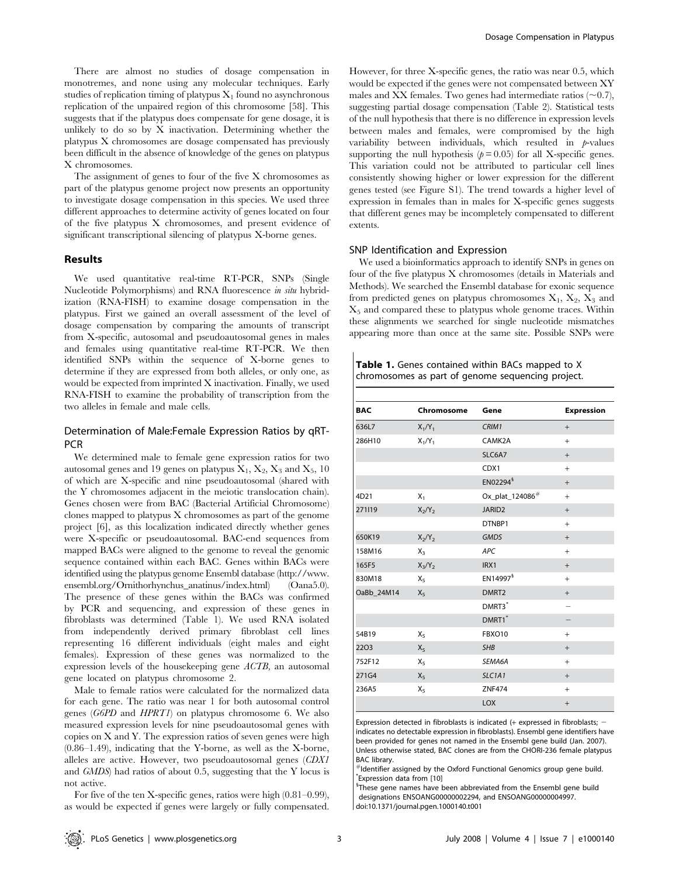There are almost no studies of dosage compensation in monotremes, and none using any molecular techniques. Early studies of replication timing of platypus  $X_1$  found no asynchronous replication of the unpaired region of this chromosome [58]. This suggests that if the platypus does compensate for gene dosage, it is unlikely to do so by X inactivation. Determining whether the platypus X chromosomes are dosage compensated has previously been difficult in the absence of knowledge of the genes on platypus X chromosomes.

The assignment of genes to four of the five X chromosomes as part of the platypus genome project now presents an opportunity to investigate dosage compensation in this species. We used three different approaches to determine activity of genes located on four of the five platypus X chromosomes, and present evidence of significant transcriptional silencing of platypus X-borne genes.

## Results

We used quantitative real-time RT-PCR, SNPs (Single Nucleotide Polymorphisms) and RNA fluorescence in situ hybridization (RNA-FISH) to examine dosage compensation in the platypus. First we gained an overall assessment of the level of dosage compensation by comparing the amounts of transcript from X-specific, autosomal and pseudoautosomal genes in males and females using quantitative real-time RT-PCR. We then identified SNPs within the sequence of X-borne genes to determine if they are expressed from both alleles, or only one, as would be expected from imprinted X inactivation. Finally, we used RNA-FISH to examine the probability of transcription from the two alleles in female and male cells.

# Determination of Male:Female Expression Ratios by qRT-PCR

We determined male to female gene expression ratios for two autosomal genes and 19 genes on platypus  $X_1, X_2, X_3$  and  $X_5$ , 10 of which are X-specific and nine pseudoautosomal (shared with the Y chromosomes adjacent in the meiotic translocation chain). Genes chosen were from BAC (Bacterial Artificial Chromosome) clones mapped to platypus X chromosomes as part of the genome project [6], as this localization indicated directly whether genes were X-specific or pseudoautosomal. BAC-end sequences from mapped BACs were aligned to the genome to reveal the genomic sequence contained within each BAC. Genes within BACs were identified using the platypus genome Ensembl database (http://www. ensembl.org/Ornithorhynchus\_anatinus/index.html) (Oana5.0). The presence of these genes within the BACs was confirmed by PCR and sequencing, and expression of these genes in fibroblasts was determined (Table 1). We used RNA isolated from independently derived primary fibroblast cell lines representing 16 different individuals (eight males and eight females). Expression of these genes was normalized to the expression levels of the housekeeping gene ACTB, an autosomal gene located on platypus chromosome 2.

Male to female ratios were calculated for the normalized data for each gene. The ratio was near 1 for both autosomal control genes (G6PD and HPRT1) on platypus chromosome 6. We also measured expression levels for nine pseudoautosomal genes with copies on X and Y. The expression ratios of seven genes were high (0.86–1.49), indicating that the Y-borne, as well as the X-borne, alleles are active. However, two pseudoautosomal genes (CDX1 and GMDS) had ratios of about 0.5, suggesting that the Y locus is not active.

For five of the ten X-specific genes, ratios were high (0.81–0.99), as would be expected if genes were largely or fully compensated. However, for three X-specific genes, the ratio was near 0.5, which would be expected if the genes were not compensated between XY males and XX females. Two genes had intermediate ratios  $(\sim 0.7)$ , suggesting partial dosage compensation (Table 2). Statistical tests of the null hypothesis that there is no difference in expression levels between males and females, were compromised by the high variability between individuals, which resulted in  $p$ -values supporting the null hypothesis ( $p = 0.05$ ) for all X-specific genes. This variation could not be attributed to particular cell lines consistently showing higher or lower expression for the different genes tested (see Figure S1). The trend towards a higher level of expression in females than in males for X-specific genes suggests that different genes may be incompletely compensated to different extents.

#### SNP Identification and Expression

We used a bioinformatics approach to identify SNPs in genes on four of the five platypus X chromosomes (details in Materials and Methods). We searched the Ensembl database for exonic sequence from predicted genes on platypus chromosomes  $X_1$ ,  $X_2$ ,  $X_3$  and  $X<sub>5</sub>$  and compared these to platypus whole genome traces. Within these alignments we searched for single nucleotide mismatches appearing more than once at the same site. Possible SNPs were

Table 1. Genes contained within BACs mapped to X chromosomes as part of genome sequencing project.

| <b>BAC</b> | Chromosome     | Gene                 | <b>Expression</b> |
|------------|----------------|----------------------|-------------------|
| 636L7      | $X_1/Y_1$      | CRIM1                | $+$               |
| 286H10     | $X_1/Y_1$      | CAMK2A               | $+$               |
|            |                | SLC6A7               | $^{+}$            |
|            |                | CDX1                 | $+$               |
|            |                | EN02294 <sup>§</sup> | $+$               |
| 4D21       | $X_1$          | Ox_plat_124086#      | $+$               |
| 271119     | $X_2/Y_2$      | JARID <sub>2</sub>   | $^{+}$            |
|            |                | DTNBP1               | $+$               |
| 650K19     | $X_2/Y_2$      | <b>GMDS</b>          | $^{+}$            |
| 158M16     | $X_3$          | APC                  | $+$               |
| 165F5      | $X_3/Y_2$      | IRX1                 | $^{+}$            |
| 830M18     | $X_5$          | EN14997 <sup>§</sup> | $+$               |
| OaBb_24M14 | $X_5$          | DMRT <sub>2</sub>    | $^{+}$            |
|            |                | DMRT3 <sup>*</sup>   |                   |
|            |                | DMRT1*               |                   |
| 54B19      | $X_{5}$        | FBXO10               | $+$               |
| 2203       | X <sub>5</sub> | <b>SHB</b>           | $^{+}$            |
| 752F12     | X <sub>5</sub> | SEMA6A               | $+$               |
| 271G4      | $X_5$          | SLC1A1               | $^{+}$            |
| 236A5      | $X_5$          | <b>ZNF474</b>        | $+$               |
|            |                | LOX                  | $\! +$            |

Expression detected in fibroblasts is indicated (+ expressed in fibroblasts: indicates no detectable expression in fibroblasts). Ensembl gene identifiers have been provided for genes not named in the Ensembl gene build (Jan. 2007). Unless otherwise stated, BAC clones are from the CHORI-236 female platypus BAC library.

#Identifier assigned by the Oxford Functional Genomics group gene build. \* Expression data from [10]

<sup>§</sup>These gene names have been abbreviated from the Ensembl gene build designations ENSOANG00000002294, and ENSOANG00000004997. doi:10.1371/journal.pgen.1000140.t001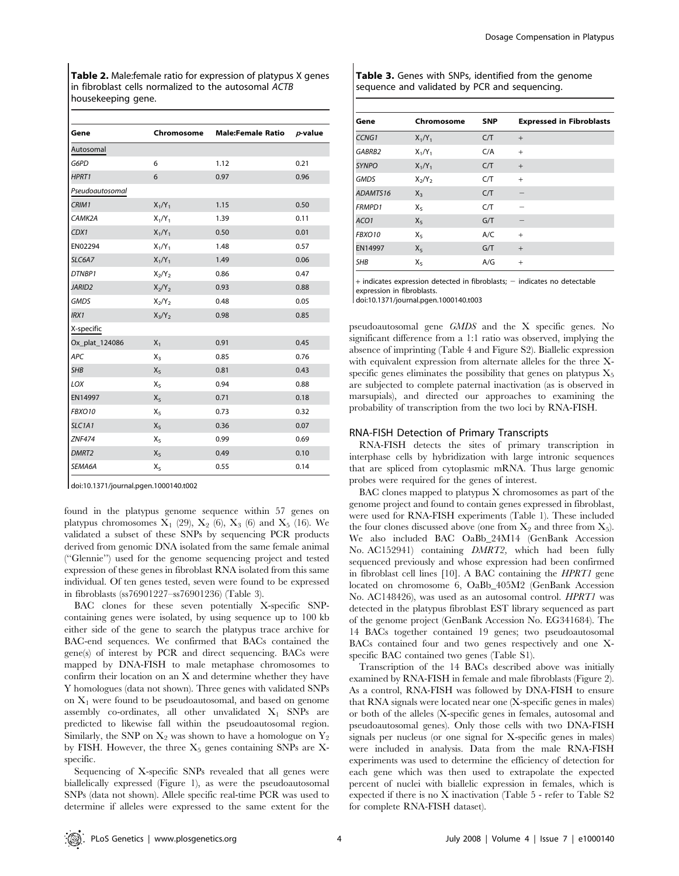Table 2. Male: female ratio for expression of platypus X genes in fibroblast cells normalized to the autosomal ACTB housekeeping gene.

| Gene               | Chromosome     | Male:Female Ratio p-value |      |
|--------------------|----------------|---------------------------|------|
| Autosomal          |                |                           |      |
| G6PD               | 6              | 1.12                      | 0.21 |
| HPRT1              | 6              | 0.97                      | 0.96 |
| Pseudoautosomal    |                |                           |      |
| CRIM1              | $X_1/Y_1$      | 1.15                      | 0.50 |
| CAMK2A             | $X_1/Y_1$      | 1.39                      | 0.11 |
| CDX1               | $X_1/Y_1$      | 0.50                      | 0.01 |
| EN02294            | $X_1/Y_1$      | 1.48                      | 0.57 |
| SLC6A7             | $X_1/Y_1$      | 1.49                      | 0.06 |
| DTNBP1             | $X_2/Y_2$      | 0.86                      | 0.47 |
| JARID <sub>2</sub> | $X_2/Y_2$      | 0.93                      | 0.88 |
| <b>GMDS</b>        | $X_2/Y_2$      | 0.48                      | 0.05 |
| IRX1               | $X_3/Y_2$      | 0.98                      | 0.85 |
| X-specific         |                |                           |      |
| Ox_plat_124086     | $X_1$          | 0.91                      | 0.45 |
| <b>APC</b>         | $X_3$          | 0.85                      | 0.76 |
| <b>SHB</b>         | $X_5$          | 0.81                      | 0.43 |
| LOX                | X <sub>5</sub> | 0.94                      | 0.88 |
| EN14997            | $X_5$          | 0.71                      | 0.18 |
| FBXO10             | $X_5$          | 0.73                      | 0.32 |
| SLC1A1             | $X_5$          | 0.36                      | 0.07 |
| <b>ZNF474</b>      | X <sub>5</sub> | 0.99                      | 0.69 |
| DMRT <sub>2</sub>  | $X_5$          | 0.49                      | 0.10 |
| SEMA6A             | $X_5$          | 0.55                      | 0.14 |

doi:10.1371/journal.pgen.1000140.t002

found in the platypus genome sequence within 57 genes on platypus chromosomes  $X_1$  (29),  $X_2$  (6),  $X_3$  (6) and  $X_5$  (16). We validated a subset of these SNPs by sequencing PCR products derived from genomic DNA isolated from the same female animal (''Glennie'') used for the genome sequencing project and tested expression of these genes in fibroblast RNA isolated from this same individual. Of ten genes tested, seven were found to be expressed in fibroblasts (ss76901227–ss76901236) (Table 3).

BAC clones for these seven potentially X-specific SNPcontaining genes were isolated, by using sequence up to 100 kb either side of the gene to search the platypus trace archive for BAC-end sequences. We confirmed that BACs contained the gene(s) of interest by PCR and direct sequencing. BACs were mapped by DNA-FISH to male metaphase chromosomes to confirm their location on an X and determine whether they have Y homologues (data not shown). Three genes with validated SNPs on  $X_1$  were found to be pseudoautosomal, and based on genome assembly co-ordinates, all other unvalidated  $X_1$  SNPs are predicted to likewise fall within the pseudoautosomal region. Similarly, the SNP on  $X_2$  was shown to have a homologue on  $Y_2$ by FISH. However, the three  $X_5$  genes containing SNPs are Xspecific.

Sequencing of X-specific SNPs revealed that all genes were biallelically expressed (Figure 1), as were the pseudoautosomal SNPs (data not shown). Allele specific real-time PCR was used to determine if alleles were expressed to the same extent for the

| <b>Table 3.</b> Genes with SNPs, identified from the genome |  |  |  |
|-------------------------------------------------------------|--|--|--|
| sequence and validated by PCR and sequencing.               |  |  |  |

| Gene             | Chromosome | <b>SNP</b> | <b>Expressed in Fibroblasts</b> |
|------------------|------------|------------|---------------------------------|
| CCNG1            | $X_1/Y_1$  | C/T        | $^{+}$                          |
| GABRB2           | $X_1/Y_1$  | C/A        | $+$                             |
| <b>SYNPO</b>     | $X_1/Y_1$  | C/T        | $+$                             |
| <b>GMDS</b>      | $X_2/Y_2$  | CЛ         | $\ddot{}$                       |
| ADAMTS16         | $X_3$      | C/T        |                                 |
| <b>FRMPD1</b>    | $X_5$      | C/T        |                                 |
| ACO <sub>1</sub> | $X_5$      | G/T        |                                 |
| FBXO10           | $X_5$      | A/C        | $^{+}$                          |
| EN14997          | $X_5$      | G/T        | $+$                             |
| <b>SHB</b>       | $X_5$      | A/G        | $^{+}$                          |

 $+$  indicates expression detected in fibroblasts;  $-$  indicates no detectable expression in fibroblasts.

doi:10.1371/journal.pgen.1000140.t003

pseudoautosomal gene GMDS and the X specific genes. No significant difference from a 1:1 ratio was observed, implying the absence of imprinting (Table 4 and Figure S2). Biallelic expression with equivalent expression from alternate alleles for the three Xspecific genes eliminates the possibility that genes on platypus  $X_5$ are subjected to complete paternal inactivation (as is observed in marsupials), and directed our approaches to examining the probability of transcription from the two loci by RNA-FISH.

# RNA-FISH Detection of Primary Transcripts

RNA-FISH detects the sites of primary transcription in interphase cells by hybridization with large intronic sequences that are spliced from cytoplasmic mRNA. Thus large genomic probes were required for the genes of interest.

BAC clones mapped to platypus X chromosomes as part of the genome project and found to contain genes expressed in fibroblast, were used for RNA-FISH experiments (Table 1). These included the four clones discussed above (one from  $X_2$  and three from  $X_5$ ). We also included BAC OaBb\_24M14 (GenBank Accession No. AC152941) containing DMRT2, which had been fully sequenced previously and whose expression had been confirmed in fibroblast cell lines [10]. A BAC containing the HPRT1 gene located on chromosome 6, OaBb\_405M2 (GenBank Accession No. AC148426), was used as an autosomal control. HPRT1 was detected in the platypus fibroblast EST library sequenced as part of the genome project (GenBank Accession No. EG341684). The 14 BACs together contained 19 genes; two pseudoautosomal BACs contained four and two genes respectively and one Xspecific BAC contained two genes (Table S1).

Transcription of the 14 BACs described above was initially examined by RNA-FISH in female and male fibroblasts (Figure 2). As a control, RNA-FISH was followed by DNA-FISH to ensure that RNA signals were located near one (X-specific genes in males) or both of the alleles (X-specific genes in females, autosomal and pseudoautosomal genes). Only those cells with two DNA-FISH signals per nucleus (or one signal for X-specific genes in males) were included in analysis. Data from the male RNA-FISH experiments was used to determine the efficiency of detection for each gene which was then used to extrapolate the expected percent of nuclei with biallelic expression in females, which is expected if there is no X inactivation (Table 5 - refer to Table S2 for complete RNA-FISH dataset).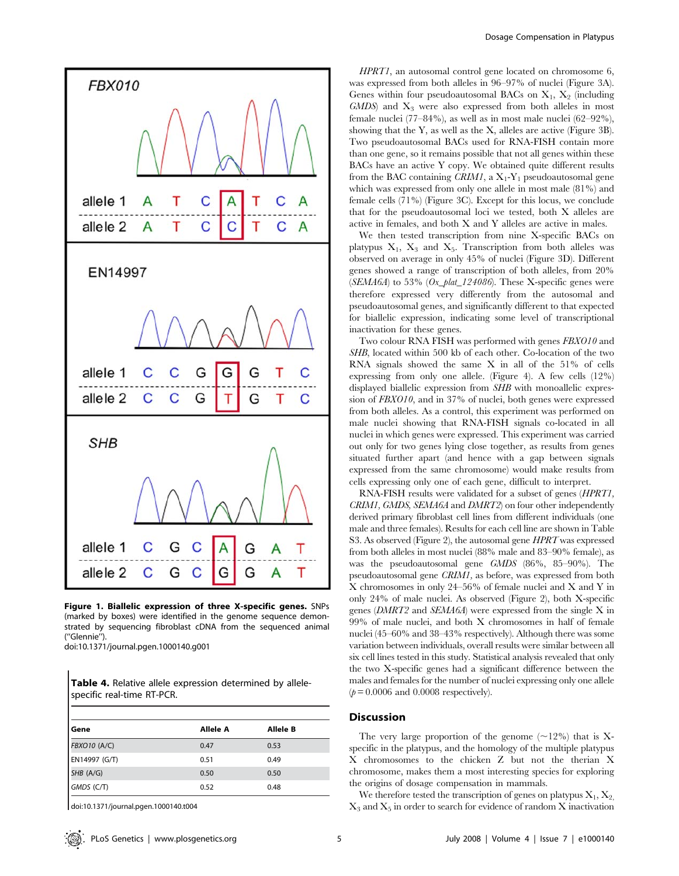

Figure 1. Biallelic expression of three X-specific genes. SNPs (marked by boxes) were identified in the genome sequence demonstrated by sequencing fibroblast cDNA from the sequenced animal (''Glennie'').

doi:10.1371/journal.pgen.1000140.g001

|                            | <b>Table 4.</b> Relative allele expression determined by allele- |  |
|----------------------------|------------------------------------------------------------------|--|
| specific real-time RT-PCR. |                                                                  |  |

| Gene                | <b>Allele A</b> | <b>Allele B</b> |
|---------------------|-----------------|-----------------|
| <b>FBXO10 (A/C)</b> | 0.47            | 0.53            |
| EN14997 (G/T)       | 0.51            | 0.49            |
| SHB(A/G)            | 0.50            | 0.50            |
| GMDS (C/T)          | 0.52            | 0.48            |

doi:10.1371/journal.pgen.1000140.t004

HPRT1, an autosomal control gene located on chromosome 6, was expressed from both alleles in 96–97% of nuclei (Figure 3A). Genes within four pseudoautosomal BACs on  $X_1$ ,  $X_2$  (including  $GMDS$  and  $X_3$  were also expressed from both alleles in most female nuclei (77–84%), as well as in most male nuclei (62–92%), showing that the Y, as well as the X, alleles are active (Figure 3B). Two pseudoautosomal BACs used for RNA-FISH contain more than one gene, so it remains possible that not all genes within these BACs have an active Y copy. We obtained quite different results from the BAC containing CRIM1, a  $X_1-Y_1$  pseudoautosomal gene which was expressed from only one allele in most male (81%) and female cells (71%) (Figure 3C). Except for this locus, we conclude that for the pseudoautosomal loci we tested, both X alleles are active in females, and both X and Y alleles are active in males.

We then tested transcription from nine X-specific BACs on platypus  $X_1$ ,  $X_3$  and  $X_5$ . Transcription from both alleles was observed on average in only 45% of nuclei (Figure 3D). Different genes showed a range of transcription of both alleles, from 20% (SEMA6A) to 53% (Ox\_plat\_124086). These X-specific genes were therefore expressed very differently from the autosomal and pseudoautosomal genes, and significantly different to that expected for biallelic expression, indicating some level of transcriptional inactivation for these genes.

Two colour RNA FISH was performed with genes FBXO10 and SHB, located within 500 kb of each other. Co-location of the two RNA signals showed the same X in all of the 51% of cells expressing from only one allele. (Figure 4). A few cells (12%) displayed biallelic expression from *SHB* with monoallelic expression of FBXO10, and in 37% of nuclei, both genes were expressed from both alleles. As a control, this experiment was performed on male nuclei showing that RNA-FISH signals co-located in all nuclei in which genes were expressed. This experiment was carried out only for two genes lying close together, as results from genes situated further apart (and hence with a gap between signals expressed from the same chromosome) would make results from cells expressing only one of each gene, difficult to interpret.

RNA-FISH results were validated for a subset of genes (HPRT1, CRIM1, GMDS, SEMA6A and DMRT2) on four other independently derived primary fibroblast cell lines from different individuals (one male and three females). Results for each cell line are shown in Table S3. As observed (Figure 2), the autosomal gene HPRT was expressed from both alleles in most nuclei (88% male and 83–90% female), as was the pseudoautosomal gene GMDS (86%, 85–90%). The pseudoautosomal gene CRIM1, as before, was expressed from both X chromosomes in only 24–56% of female nuclei and X and Y in only 24% of male nuclei. As observed (Figure 2), both X-specific genes (DMRT2 and SEMA6A) were expressed from the single X in 99% of male nuclei, and both X chromosomes in half of female nuclei (45–60% and 38–43% respectively). Although there was some variation between individuals, overall results were similar between all six cell lines tested in this study. Statistical analysis revealed that only the two X-specific genes had a significant difference between the males and females for the number of nuclei expressing only one allele  $(p= 0.0006$  and 0.0008 respectively).

# Discussion

The very large proportion of the genome  $(\sim 12\%)$  that is Xspecific in the platypus, and the homology of the multiple platypus X chromosomes to the chicken Z but not the therian X chromosome, makes them a most interesting species for exploring the origins of dosage compensation in mammals.

We therefore tested the transcription of genes on platypus  $X_1, X_2$ ,  $X_3$  and  $X_5$  in order to search for evidence of random X inactivation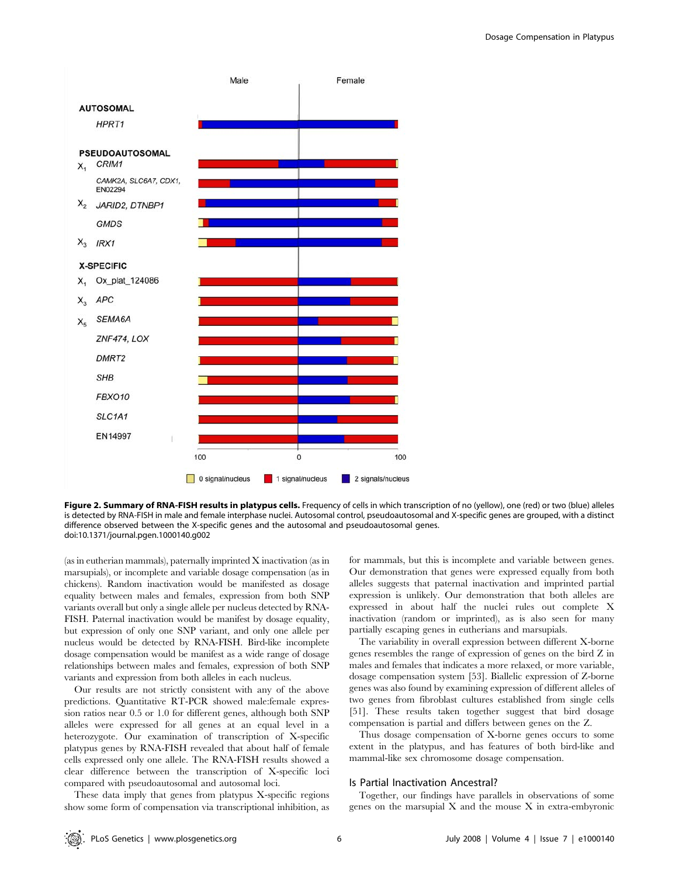



(as in eutherian mammals), paternally imprinted X inactivation (as in marsupials), or incomplete and variable dosage compensation (as in chickens). Random inactivation would be manifested as dosage equality between males and females, expression from both SNP variants overall but only a single allele per nucleus detected by RNA-FISH. Paternal inactivation would be manifest by dosage equality, but expression of only one SNP variant, and only one allele per nucleus would be detected by RNA-FISH. Bird-like incomplete dosage compensation would be manifest as a wide range of dosage relationships between males and females, expression of both SNP variants and expression from both alleles in each nucleus.

Our results are not strictly consistent with any of the above predictions. Quantitative RT-PCR showed male:female expression ratios near 0.5 or 1.0 for different genes, although both SNP alleles were expressed for all genes at an equal level in a heterozygote. Our examination of transcription of X-specific platypus genes by RNA-FISH revealed that about half of female cells expressed only one allele. The RNA-FISH results showed a clear difference between the transcription of X-specific loci compared with pseudoautosomal and autosomal loci.

These data imply that genes from platypus X-specific regions show some form of compensation via transcriptional inhibition, as

for mammals, but this is incomplete and variable between genes. Our demonstration that genes were expressed equally from both alleles suggests that paternal inactivation and imprinted partial expression is unlikely. Our demonstration that both alleles are expressed in about half the nuclei rules out complete X inactivation (random or imprinted), as is also seen for many partially escaping genes in eutherians and marsupials.

The variability in overall expression between different X-borne genes resembles the range of expression of genes on the bird Z in males and females that indicates a more relaxed, or more variable, dosage compensation system [53]. Biallelic expression of Z-borne genes was also found by examining expression of different alleles of two genes from fibroblast cultures established from single cells [51]. These results taken together suggest that bird dosage compensation is partial and differs between genes on the Z.

Thus dosage compensation of X-borne genes occurs to some extent in the platypus, and has features of both bird-like and mammal-like sex chromosome dosage compensation.

#### Is Partial Inactivation Ancestral?

Together, our findings have parallels in observations of some genes on the marsupial X and the mouse X in extra-embyronic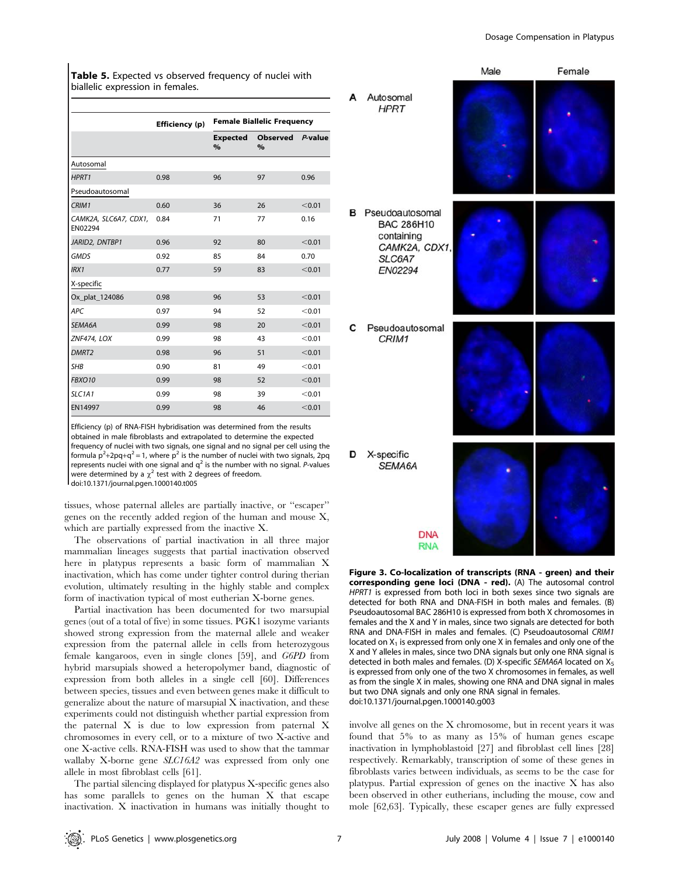Table 5. Expected vs observed frequency of nuclei with biallelic expression in females.

|                                  | Efficiency (p) | <b>Female Biallelic Frequency</b> |                          |        |
|----------------------------------|----------------|-----------------------------------|--------------------------|--------|
|                                  |                | <b>Expected</b><br>$\%$           | Observed P-value<br>$\%$ |        |
| Autosomal                        |                |                                   |                          |        |
| <b>HPRT1</b>                     | 0.98           | 96                                | 97                       | 0.96   |
| Pseudoautosomal                  |                |                                   |                          |        |
| CRIM1                            | 0.60           | 36                                | 26                       | < 0.01 |
| CAMK2A, SLC6A7, CDX1,<br>EN02294 | 0.84           | 71                                | 77                       | 0.16   |
| JARID2, DNTBP1                   | 0.96           | 92                                | 80                       | < 0.01 |
| <b>GMDS</b>                      | 0.92           | 85                                | 84                       | 0.70   |
| IRX1                             | 0.77           | 59                                | 83                       | < 0.01 |
| X-specific                       |                |                                   |                          |        |
| Ox_plat_124086                   | 0.98           | 96                                | 53                       | < 0.01 |
| <b>APC</b>                       | 0.97           | 94                                | 52                       | < 0.01 |
| <b>SEMA6A</b>                    | 0.99           | 98                                | 20                       | < 0.01 |
| ZNF474, LOX                      | 0.99           | 98                                | 43                       | < 0.01 |
| DMRT <sub>2</sub>                | 0.98           | 96                                | 51                       | < 0.01 |
| <b>SHB</b>                       | 0.90           | 81                                | 49                       | < 0.01 |
| FBXO10                           | 0.99           | 98                                | 52                       | < 0.01 |
| SLC1A1                           | 0.99           | 98                                | 39                       | < 0.01 |
| EN14997                          | 0.99           | 98                                | 46                       | < 0.01 |

Efficiency (p) of RNA-FISH hybridisation was determined from the results obtained in male fibroblasts and extrapolated to determine the expected frequency of nuclei with two signals, one signal and no signal per cell using the formula  $p^2+2pq+q^2=1$ , where  $p^2$  is the number of nuclei with two signals, 2pq represents nuclei with one signal and  $q^2$  is the number with no signal. P-values were determined by a  $\gamma^2$  test with 2 degrees of freedom.

doi:10.1371/journal.pgen.1000140.t005

tissues, whose paternal alleles are partially inactive, or ''escaper'' genes on the recently added region of the human and mouse X, which are partially expressed from the inactive X.

The observations of partial inactivation in all three major mammalian lineages suggests that partial inactivation observed here in platypus represents a basic form of mammalian X inactivation, which has come under tighter control during therian evolution, ultimately resulting in the highly stable and complex form of inactivation typical of most eutherian X-borne genes.

Partial inactivation has been documented for two marsupial genes (out of a total of five) in some tissues. PGK1 isozyme variants showed strong expression from the maternal allele and weaker expression from the paternal allele in cells from heterozygous female kangaroos, even in single clones [59], and G6PD from hybrid marsupials showed a heteropolymer band, diagnostic of expression from both alleles in a single cell [60]. Differences between species, tissues and even between genes make it difficult to generalize about the nature of marsupial X inactivation, and these experiments could not distinguish whether partial expression from the paternal X is due to low expression from paternal X chromosomes in every cell, or to a mixture of two X-active and one X-active cells. RNA-FISH was used to show that the tammar wallaby X-borne gene SLC16A2 was expressed from only one allele in most fibroblast cells [61].

The partial silencing displayed for platypus X-specific genes also has some parallels to genes on the human X that escape inactivation. X inactivation in humans was initially thought to

|   |                                                                                          | Male | Female |
|---|------------------------------------------------------------------------------------------|------|--------|
| А | Autosomal<br><b>HPRT</b>                                                                 |      |        |
| в | Pseudoautosomal<br><b>BAC 286H10</b><br>containing<br>CAMK2A, CDX1,<br>SLC6A7<br>EN02294 |      |        |
| С | Pseudoautosomal<br>CRIM1                                                                 |      |        |
| D | X-specific<br>SEMA6A                                                                     |      |        |
|   | <b>DNA</b><br>RNA                                                                        |      |        |

Figure 3. Co-localization of transcripts (RNA - green) and their corresponding gene loci (DNA - red). (A) The autosomal control HPRT1 is expressed from both loci in both sexes since two signals are detected for both RNA and DNA-FISH in both males and females. (B) Pseudoautosomal BAC 286H10 is expressed from both X chromosomes in females and the X and Y in males, since two signals are detected for both RNA and DNA-FISH in males and females. (C) Pseudoautosomal CRIM1 located on  $X_1$  is expressed from only one X in females and only one of the X and Y alleles in males, since two DNA signals but only one RNA signal is detected in both males and females. (D) X-specific SEMA6A located on X<sub>5</sub> is expressed from only one of the two X chromosomes in females, as well as from the single X in males, showing one RNA and DNA signal in males but two DNA signals and only one RNA signal in females. doi:10.1371/journal.pgen.1000140.g003

involve all genes on the X chromosome, but in recent years it was found that 5% to as many as 15% of human genes escape inactivation in lymphoblastoid [27] and fibroblast cell lines [28] respectively. Remarkably, transcription of some of these genes in fibroblasts varies between individuals, as seems to be the case for platypus. Partial expression of genes on the inactive X has also been observed in other eutherians, including the mouse, cow and mole [62,63]. Typically, these escaper genes are fully expressed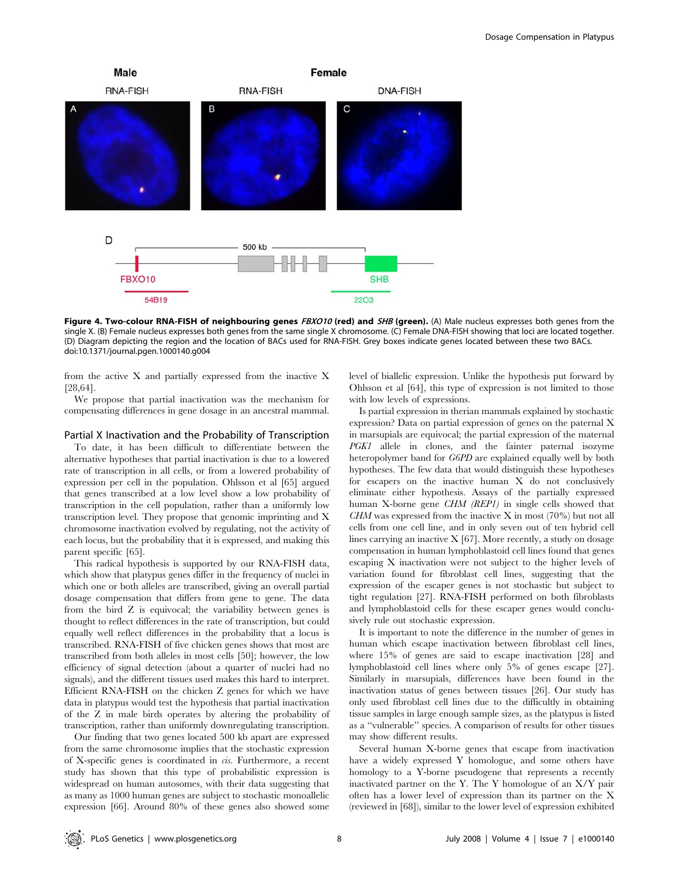

Figure 4. Two-colour RNA-FISH of neighbouring genes FBXO10 (red) and SHB (green). (A) Male nucleus expresses both genes from the single X. (B) Female nucleus expresses both genes from the same single X chromosome. (C) Female DNA-FISH showing that loci are located together. (D) Diagram depicting the region and the location of BACs used for RNA-FISH. Grey boxes indicate genes located between these two BACs. doi:10.1371/journal.pgen.1000140.g004

from the active X and partially expressed from the inactive X [28,64].

We propose that partial inactivation was the mechanism for compensating differences in gene dosage in an ancestral mammal.

## Partial X Inactivation and the Probability of Transcription

To date, it has been difficult to differentiate between the alternative hypotheses that partial inactivation is due to a lowered rate of transcription in all cells, or from a lowered probability of expression per cell in the population. Ohlsson et al [65] argued that genes transcribed at a low level show a low probability of transcription in the cell population, rather than a uniformly low transcription level. They propose that genomic imprinting and X chromosome inactivation evolved by regulating, not the activity of each locus, but the probability that it is expressed, and making this parent specific [65].

This radical hypothesis is supported by our RNA-FISH data, which show that platypus genes differ in the frequency of nuclei in which one or both alleles are transcribed, giving an overall partial dosage compensation that differs from gene to gene. The data from the bird Z is equivocal; the variability between genes is thought to reflect differences in the rate of transcription, but could equally well reflect differences in the probability that a locus is transcribed. RNA-FISH of five chicken genes shows that most are transcribed from both alleles in most cells [50]; however, the low efficiency of signal detection (about a quarter of nuclei had no signals), and the different tissues used makes this hard to interpret. Efficient RNA-FISH on the chicken Z genes for which we have data in platypus would test the hypothesis that partial inactivation of the Z in male birds operates by altering the probability of transcription, rather than uniformly downregulating transcription.

Our finding that two genes located 500 kb apart are expressed from the same chromosome implies that the stochastic expression of X-specific genes is coordinated in cis. Furthermore, a recent study has shown that this type of probabilistic expression is widespread on human autosomes, with their data suggesting that as many as 1000 human genes are subject to stochastic monoallelic expression [66]. Around 80% of these genes also showed some

level of biallelic expression. Unlike the hypothesis put forward by Ohlsson et al [64], this type of expression is not limited to those with low levels of expressions.

Is partial expression in therian mammals explained by stochastic expression? Data on partial expression of genes on the paternal X in marsupials are equivocal; the partial expression of the maternal PGK1 allele in clones, and the fainter paternal isozyme heteropolymer band for G6PD are explained equally well by both hypotheses. The few data that would distinguish these hypotheses for escapers on the inactive human X do not conclusively eliminate either hypothesis. Assays of the partially expressed human X-borne gene CHM (REP1) in single cells showed that  $CHM$  was expressed from the inactive X in most (70%) but not all cells from one cell line, and in only seven out of ten hybrid cell lines carrying an inactive X [67]. More recently, a study on dosage compensation in human lymphoblastoid cell lines found that genes escaping X inactivation were not subject to the higher levels of variation found for fibroblast cell lines, suggesting that the expression of the escaper genes is not stochastic but subject to tight regulation [27]. RNA-FISH performed on both fibroblasts and lymphoblastoid cells for these escaper genes would conclusively rule out stochastic expression.

It is important to note the difference in the number of genes in human which escape inactivation between fibroblast cell lines, where 15% of genes are said to escape inactivation [28] and lymphoblastoid cell lines where only 5% of genes escape [27]. Similarly in marsupials, differences have been found in the inactivation status of genes between tissues [26]. Our study has only used fibroblast cell lines due to the difficultly in obtaining tissue samples in large enough sample sizes, as the platypus is listed as a ''vulnerable'' species. A comparison of results for other tissues may show different results.

Several human X-borne genes that escape from inactivation have a widely expressed Y homologue, and some others have homology to a Y-borne pseudogene that represents a recently inactivated partner on the Y. The Y homologue of an X/Y pair often has a lower level of expression than its partner on the X (reviewed in [68]), similar to the lower level of expression exhibited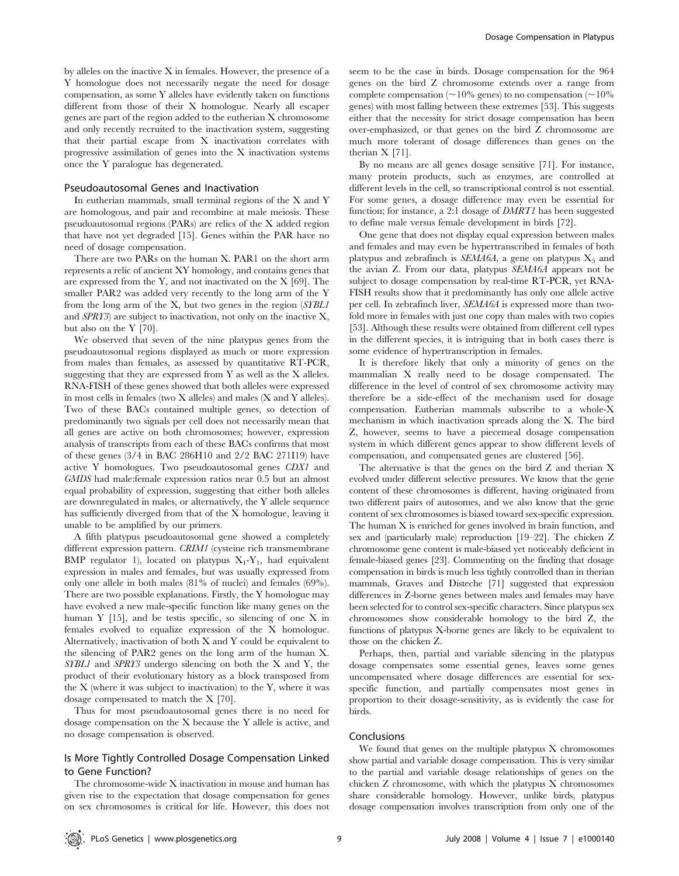by alleles on the inactive X in females. However, the presence of a Y homologue does not necessarily negate the need for dosage compensation, as some Y alleles have evidently taken on functions different from those of their X homologue. Nearly all escaper genes are part of the region added to the eutherian X chromosome and only recently recruited to the inactivation system, suggesting that their partial escape from X inactivation correlates with progressive assimilation of genes into the X inactivation systems once the Y paralogue has degenerated.

#### Pseudoautosomal Genes and Inactivation

In eutherian mammals, small terminal regions of the X and Y are homologous, and pair and recombine at male meiosis. These pseudoautosomal regions (PARs) are relics of the X added region that have not yet degraded [15]. Genes within the PAR have no need of dosage compensation.

There are two PARs on the human X. PAR1 on the short arm represents a relic of ancient XY homology, and contains genes that are expressed from the Y, and not inactivated on the X [69]. The smaller PAR2 was added very recently to the long arm of the Y from the long arm of the X, but two genes in the region (SYBL1 and SPRY3) are subject to inactivation, not only on the inactive X, but also on the Y [70].

We observed that seven of the nine platypus genes from the pseudoautosomal regions displayed as much or more expression from males than females, as assessed by quantitative RT-PCR, suggesting that they are expressed from Y as well as the X alleles. RNA-FISH of these genes showed that both alleles were expressed in most cells in females (two X alleles) and males (X and Y alleles). Two of these BACs contained multiple genes, so detection of predominantly two signals per cell does not necessarily mean that all genes are active on both chromosomes; however, expression analysis of transcripts from each of these BACs confirms that most of these genes (3/4 in BAC 286H10 and 2/2 BAC 271I19) have active Y homologues. Two pseudoautosomal genes CDX1 and GMDS had male:female expression ratios near 0.5 but an almost equal probability of expression, suggesting that either both alleles are downregulated in males, or alternatively, the Y allele sequence has sufficiently diverged from that of the X homologue, leaving it unable to be amplified by our primers.

A fifth platypus pseudoautosomal gene showed a completely different expression pattern. CRIM1 (cysteine rich transmembrane BMP regulator 1), located on platypus  $X_1-Y_1$ , had equivalent expression in males and females, but was usually expressed from only one allele in both males (81% of nuclei) and females (69%). There are two possible explanations. Firstly, the Y homologue may have evolved a new male-specific function like many genes on the human Y  $[15]$ , and be testis specific, so silencing of one X in females evolved to equalize expression of the X homologue. Alternatively, inactivation of both X and Y could be equivalent to the silencing of PAR2 genes on the long arm of the human X. SYBL1 and SPRY3 undergo silencing on both the X and Y, the product of their evolutionary history as a block transposed from the  $X$  (where it was subject to inactivation) to the  $Y$ , where it was dosage compensated to match the X [70].

Thus for most pseudoautosomal genes there is no need for dosage compensation on the X because the Y allele is active, and no dosage compensation is observed.

# Is More Tightly Controlled Dosage Compensation Linked to Gene Function?

The chromosome-wide X inactivation in mouse and human has given rise to the expectation that dosage compensation for genes on sex chromosomes is critical for life. However, this does not

seem to be the case in birds. Dosage compensation for the 964 genes on the bird Z chromosome extends over a range from complete compensation ( $\sim$ 10% genes) to no compensation ( $\sim$ 10% genes) with most falling between these extremes [53]. This suggests either that the necessity for strict dosage compensation has been over-emphasized, or that genes on the bird Z chromosome are much more tolerant of dosage differences than genes on the therian X [71].

By no means are all genes dosage sensitive [71]. For instance, many protein products, such as enzymes, are controlled at different levels in the cell, so transcriptional control is not essential. For some genes, a dosage difference may even be essential for function; for instance, a 2:1 dosage of DMRT1 has been suggested to define male versus female development in birds [72].

One gene that does not display equal expression between males and females and may even be hypertranscribed in females of both platypus and zebrafinch is  $SEMAGA$ , a gene on platypus  $X_5$  and the avian Z. From our data, platypus SEMA6A appears not be subject to dosage compensation by real-time RT-PCR, yet RNA-FISH results show that it predominantly has only one allele active per cell. In zebrafinch liver, SEMA6A is expressed more than twofold more in females with just one copy than males with two copies [53]. Although these results were obtained from different cell types in the different species, it is intriguing that in both cases there is some evidence of hypertranscription in females.

It is therefore likely that only a minority of genes on the mammalian X really need to be dosage compensated. The difference in the level of control of sex chromosome activity may therefore be a side-effect of the mechanism used for dosage compensation. Eutherian mammals subscribe to a whole-X mechanism in which inactivation spreads along the X. The bird Z, however, seems to have a piecemeal dosage compensation system in which different genes appear to show different levels of compensation, and compensated genes are clustered [56].

The alternative is that the genes on the bird Z and therian X evolved under different selective pressures. We know that the gene content of these chromosomes is different, having originated from two different pairs of autosomes, and we also know that the gene content of sex chromosomes is biased toward sex-specific expression. The human X is enriched for genes involved in brain function, and sex and (particularly male) reproduction [19–22]. The chicken Z chromosome gene content is male-biased yet noticeably deficient in female-biased genes [23]. Commenting on the finding that dosage compensation in birds is much less tightly controlled than in therian mammals, Graves and Disteche [71] suggested that expression differences in Z-borne genes between males and females may have been selected for to control sex-specific characters. Since platypus sex chromosomes show considerable homology to the bird Z, the functions of platypus X-borne genes are likely to be equivalent to those on the chicken Z.

Perhaps, then, partial and variable silencing in the platypus dosage compensates some essential genes, leaves some genes uncompensated where dosage differences are essential for sexspecific function, and partially compensates most genes in proportion to their dosage-sensitivity, as is evidently the case for birds.

# Conclusions

We found that genes on the multiple platypus X chromosomes show partial and variable dosage compensation. This is very similar to the partial and variable dosage relationships of genes on the chicken Z chromosome, with which the platypus X chromosomes share considerable homology. However, unlike birds, platypus dosage compensation involves transcription from only one of the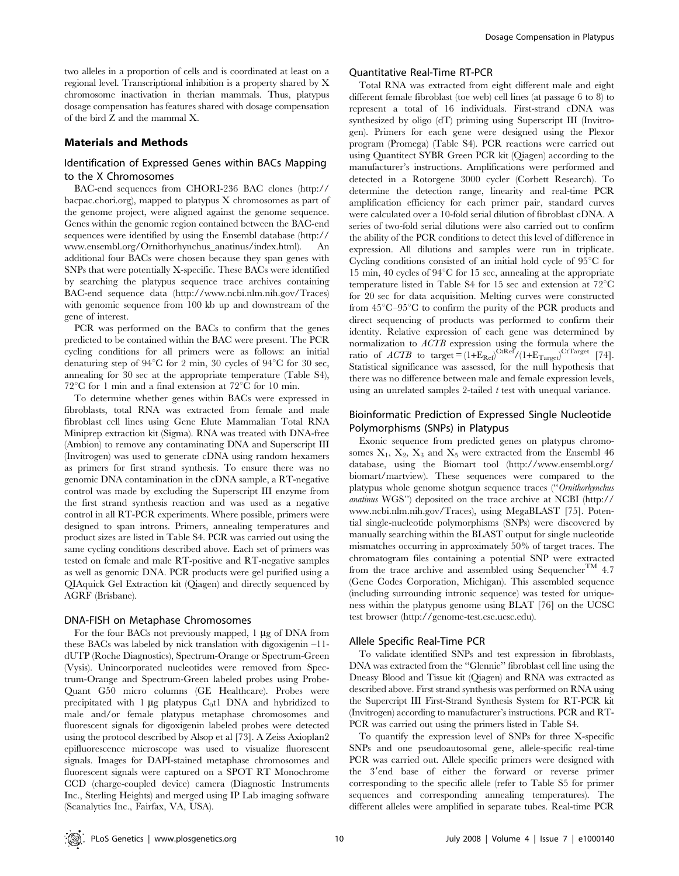two alleles in a proportion of cells and is coordinated at least on a regional level. Transcriptional inhibition is a property shared by X chromosome inactivation in therian mammals. Thus, platypus dosage compensation has features shared with dosage compensation of the bird Z and the mammal X.

## Materials and Methods

# Identification of Expressed Genes within BACs Mapping to the X Chromosomes

BAC-end sequences from CHORI-236 BAC clones (http:// bacpac.chori.org), mapped to platypus X chromosomes as part of the genome project, were aligned against the genome sequence. Genes within the genomic region contained between the BAC-end sequences were identified by using the Ensembl database (http:// www.ensembl.org/Ornithorhynchus\_anatinus/index.html). An additional four BACs were chosen because they span genes with SNPs that were potentially X-specific. These BACs were identified by searching the platypus sequence trace archives containing BAC-end sequence data (http://www.ncbi.nlm.nih.gov/Traces) with genomic sequence from 100 kb up and downstream of the gene of interest.

PCR was performed on the BACs to confirm that the genes predicted to be contained within the BAC were present. The PCR cycling conditions for all primers were as follows: an initial denaturing step of  $94^{\circ}$ C for 2 min, 30 cycles of  $94^{\circ}$ C for 30 sec, annealing for 30 sec at the appropriate temperature (Table S4),  $72^{\circ}$ C for 1 min and a final extension at  $72^{\circ}$ C for 10 min.

To determine whether genes within BACs were expressed in fibroblasts, total RNA was extracted from female and male fibroblast cell lines using Gene Elute Mammalian Total RNA Miniprep extraction kit (Sigma). RNA was treated with DNA-free (Ambion) to remove any contaminating DNA and Superscript III (Invitrogen) was used to generate cDNA using random hexamers as primers for first strand synthesis. To ensure there was no genomic DNA contamination in the cDNA sample, a RT-negative control was made by excluding the Superscript III enzyme from the first strand synthesis reaction and was used as a negative control in all RT-PCR experiments. Where possible, primers were designed to span introns. Primers, annealing temperatures and product sizes are listed in Table S4. PCR was carried out using the same cycling conditions described above. Each set of primers was tested on female and male RT-positive and RT-negative samples as well as genomic DNA. PCR products were gel purified using a QIAquick Gel Extraction kit (Qiagen) and directly sequenced by AGRF (Brisbane).

#### DNA-FISH on Metaphase Chromosomes

For the four BACs not previously mapped,  $1 \mu$ g of DNA from these BACs was labeled by nick translation with digoxigenin –11 dUTP (Roche Diagnostics), Spectrum-Orange or Spectrum-Green (Vysis). Unincorporated nucleotides were removed from Spectrum-Orange and Spectrum-Green labeled probes using Probe-Quant G50 micro columns (GE Healthcare). Probes were precipitated with 1  $\mu$ g platypus C<sub>0</sub>t1 DNA and hybridized to male and/or female platypus metaphase chromosomes and fluorescent signals for digoxigenin labeled probes were detected using the protocol described by Alsop et al [73]. A Zeiss Axioplan2 epifluorescence microscope was used to visualize fluorescent signals. Images for DAPI-stained metaphase chromosomes and fluorescent signals were captured on a SPOT RT Monochrome CCD (charge-coupled device) camera (Diagnostic Instruments Inc., Sterling Heights) and merged using IP Lab imaging software (Scanalytics Inc., Fairfax, VA, USA).

# Quantitative Real-Time RT-PCR

Total RNA was extracted from eight different male and eight different female fibroblast (toe web) cell lines (at passage 6 to 8) to represent a total of 16 individuals. First-strand cDNA was synthesized by oligo (dT) priming using Superscript III (Invitrogen). Primers for each gene were designed using the Plexor program (Promega) (Table S4). PCR reactions were carried out using Quantitect SYBR Green PCR kit (Qiagen) according to the manufacturer's instructions. Amplifications were performed and detected in a Rotorgene 3000 cycler (Corbett Research). To determine the detection range, linearity and real-time PCR amplification efficiency for each primer pair, standard curves were calculated over a 10-fold serial dilution of fibroblast cDNA. A series of two-fold serial dilutions were also carried out to confirm the ability of the PCR conditions to detect this level of difference in expression. All dilutions and samples were run in triplicate. Cycling conditions consisted of an initial hold cycle of  $95^{\circ}$ C for 15 min, 40 cycles of  $94^{\circ}$ C for 15 sec, annealing at the appropriate temperature listed in Table S4 for 15 sec and extension at  $72^{\circ}$ C for 20 sec for data acquisition. Melting curves were constructed from  $45^{\circ}C$ –95<sup>°</sup>C to confirm the purity of the PCR products and direct sequencing of products was performed to confirm their identity. Relative expression of each gene was determined by normalization to ACTB expression using the formula where the ratio of ACTB to target  $=(1+E_{\text{Ref}})^{\text{CrRef}}/(1+E_{\text{Target}})^{\text{CrTarget}}$  [74]. Statistical significance was assessed, for the null hypothesis that there was no difference between male and female expression levels, using an unrelated samples 2-tailed  $t$  test with unequal variance.

# Bioinformatic Prediction of Expressed Single Nucleotide Polymorphisms (SNPs) in Platypus

Exonic sequence from predicted genes on platypus chromosomes  $X_1$ ,  $X_2$ ,  $X_3$  and  $X_5$  were extracted from the Ensembl 46 database, using the Biomart tool (http://www.ensembl.org/ biomart/martview). These sequences were compared to the platypus whole genome shotgun sequence traces (''Ornithorhynchus anatinus WGS'') deposited on the trace archive at NCBI (http:// www.ncbi.nlm.nih.gov/Traces), using MegaBLAST [75]. Potential single-nucleotide polymorphisms (SNPs) were discovered by manually searching within the BLAST output for single nucleotide mismatches occurring in approximately 50% of target traces. The chromatogram files containing a potential SNP were extracted from the trace archive and assembled using Sequencher<sup>TM</sup> 4.7 (Gene Codes Corporation, Michigan). This assembled sequence (including surrounding intronic sequence) was tested for uniqueness within the platypus genome using BLAT [76] on the UCSC test browser (http://genome-test.cse.ucsc.edu).

#### Allele Specific Real-Time PCR

To validate identified SNPs and test expression in fibroblasts, DNA was extracted from the ''Glennie'' fibroblast cell line using the Dneasy Blood and Tissue kit (Qiagen) and RNA was extracted as described above. First strand synthesis was performed on RNA using the Supercript III First-Strand Synthesis System for RT-PCR kit (Invitrogen) according to manufacturer's instructions. PCR and RT-PCR was carried out using the primers listed in Table S4.

To quantify the expression level of SNPs for three X-specific SNPs and one pseudoautosomal gene, allele-specific real-time PCR was carried out. Allele specific primers were designed with the 3'end base of either the forward or reverse primer corresponding to the specific allele (refer to Table S5 for primer sequences and corresponding annealing temperatures). The different alleles were amplified in separate tubes. Real-time PCR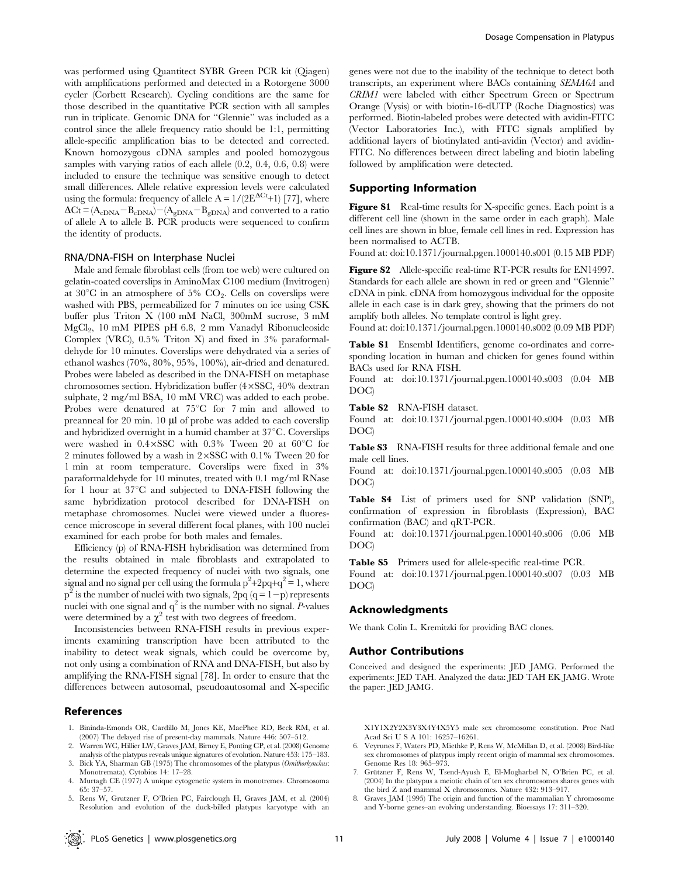was performed using Quantitect SYBR Green PCR kit (Qiagen) with amplifications performed and detected in a Rotorgene 3000 cycler (Corbett Research). Cycling conditions are the same for those described in the quantitative PCR section with all samples run in triplicate. Genomic DNA for ''Glennie'' was included as a control since the allele frequency ratio should be 1:1, permitting allele-specific amplification bias to be detected and corrected. Known homozygous cDNA samples and pooled homozygous samples with varying ratios of each allele (0.2, 0.4, 0.6, 0.8) were included to ensure the technique was sensitive enough to detect small differences. Allele relative expression levels were calculated using the formula: frequency of allele  $A = 1/(2E^{\Delta Ct}+1)$  [77], where  $\Delta$ Ct = (A<sub>cDNA</sub> - B<sub>cDNA</sub>) – (A<sub>gDNA</sub> - B<sub>gDNA</sub>) and converted to a ratio of allele A to allele B. PCR products were sequenced to confirm the identity of products.

## RNA/DNA-FISH on Interphase Nuclei

Male and female fibroblast cells (from toe web) were cultured on gelatin-coated coverslips in AminoMax C100 medium (Invitrogen) at  $30^{\circ}$ C in an atmosphere of  $5\%$  CO<sub>2</sub>. Cells on coverslips were washed with PBS, permeabilized for 7 minutes on ice using CSK buffer plus Triton X (100 mM NaCl, 300mM sucrose, 3 mM MgCl2, 10 mM PIPES pH 6.8, 2 mm Vanadyl Ribonucleoside Complex (VRC), 0.5% Triton X) and fixed in 3% paraformaldehyde for 10 minutes. Coverslips were dehydrated via a series of ethanol washes (70%, 80%, 95%, 100%), air-dried and denatured. Probes were labeled as described in the DNA-FISH on metaphase chromosomes section. Hybridization buffer  $(4 \times SSC, 40\%$  dextran sulphate, 2 mg/ml BSA, 10 mM VRC) was added to each probe. Probes were denatured at  $75^{\circ}$ C for 7 min and allowed to preanneal for 20 min.  $10 \mu l$  of probe was added to each coverslip and hybridized overnight in a humid chamber at  $37^{\circ}$ C. Coverslips were washed in  $0.4 \times$ SSC with 0.3% Tween 20 at 60 $^{\circ}$ C for 2 minutes followed by a wash in  $2 \times SSC$  with 0.1% Tween 20 for 1 min at room temperature. Coverslips were fixed in 3% paraformaldehyde for 10 minutes, treated with 0.1 mg/ml RNase for 1 hour at  $37^{\circ}$ C and subjected to DNA-FISH following the same hybridization protocol described for DNA-FISH on metaphase chromosomes. Nuclei were viewed under a fluorescence microscope in several different focal planes, with 100 nuclei examined for each probe for both males and females.

Efficiency (p) of RNA-FISH hybridisation was determined from the results obtained in male fibroblasts and extrapolated to determine the expected frequency of nuclei with two signals, one signal and no signal per cell using the formula  $p^2+2pq+q^2=1$ , where  $p^2$  is the number of nuclei with two signals,  $2pq (q = 1-p)$  represents nuclei with one signal and  $q^2$  is the number with no signal. *P*-values were determined by a  $\chi^2$  test with two degrees of freedom.

Inconsistencies between RNA-FISH results in previous experiments examining transcription have been attributed to the inability to detect weak signals, which could be overcome by, not only using a combination of RNA and DNA-FISH, but also by amplifying the RNA-FISH signal [78]. In order to ensure that the differences between autosomal, pseudoautosomal and X-specific

#### References

- 1. Bininda-Emonds OR, Cardillo M, Jones KE, MacPhee RD, Beck RM, et al. (2007) The delayed rise of present-day mammals. Nature 446: 507–512.
- 2. Warren WC, Hillier LW, Graves JAM, Birney E, Ponting CP, et al. (2008) Genome analysis of the platypus reveals unique signatures of evolution. Nature 453: 175–183. 3. Bick YA, Sharman GB (1975) The chromosomes of the platypus (Ornithorhynchus:
- Monotremata). Cytobios 14: 17–28. 4. Murtagh CE (1977) A unique cytogenetic system in monotremes. Chromosoma 65: 37–57.
- 5. Rens W, Grutzner F, O'Brien PC, Fairclough H, Graves JAM, et al. (2004) Resolution and evolution of the duck-billed platypus karyotype with an

genes were not due to the inability of the technique to detect both transcripts, an experiment where BACs containing SEMA6A and CRIM1 were labeled with either Spectrum Green or Spectrum Orange (Vysis) or with biotin-16-dUTP (Roche Diagnostics) was performed. Biotin-labeled probes were detected with avidin-FITC (Vector Laboratories Inc.), with FITC signals amplified by additional layers of biotinylated anti-avidin (Vector) and avidin-FITC. No differences between direct labeling and biotin labeling followed by amplification were detected.

### Supporting Information

Figure S1 Real-time results for X-specific genes. Each point is a different cell line (shown in the same order in each graph). Male cell lines are shown in blue, female cell lines in red. Expression has been normalised to ACTB.

Found at: doi:10.1371/journal.pgen.1000140.s001 (0.15 MB PDF)

Figure S2 Allele-specific real-time RT-PCR results for EN14997. Standards for each allele are shown in red or green and ''Glennie'' cDNA in pink. cDNA from homozygous individual for the opposite allele in each case is in dark grey, showing that the primers do not amplify both alleles. No template control is light grey.

Found at: doi:10.1371/journal.pgen.1000140.s002 (0.09 MB PDF)

Table S1 Ensembl Identifiers, genome co-ordinates and corresponding location in human and chicken for genes found within BACs used for RNA FISH.

Found at: doi:10.1371/journal.pgen.1000140.s003 (0.04 MB DOC)

Table S2 RNA-FISH dataset.

Found at: doi:10.1371/journal.pgen.1000140.s004 (0.03 MB DOC)

Table S3 RNA-FISH results for three additional female and one male cell lines.

Found at: doi:10.1371/journal.pgen.1000140.s005 (0.03 MB DOC)

Table S4 List of primers used for SNP validation (SNP), confirmation of expression in fibroblasts (Expression), BAC confirmation (BAC) and qRT-PCR.

Found at: doi:10.1371/journal.pgen.1000140.s006 (0.06 MB DOC)

Table S5 Primers used for allele-specific real-time PCR.

Found at: doi:10.1371/journal.pgen.1000140.s007 (0.03 MB DOC)

## Acknowledgments

We thank Colin L. Kremitzki for providing BAC clones.

## Author Contributions

Conceived and designed the experiments: JED JAMG. Performed the experiments: JED TAH. Analyzed the data: JED TAH EK JAMG. Wrote the paper: JED JAMG.

X1Y1X2Y2X3Y3X4Y4X5Y5 male sex chromosome constitution. Proc Natl Acad Sci U S A 101: 16257–16261.

- 6. Veyrunes F, Waters PD, Miethke P, Rens W, McMillan D, et al. (2008) Bird-like sex chromosomes of platypus imply recent origin of mammal sex chromosomes. Genome Res 18: 965–973.
- 7. Grützner F, Rens W, Tsend-Ayush E, El-Mogharbel N, O'Brien PC, et al. (2004) In the platypus a meiotic chain of ten sex chromosomes shares genes with the bird Z and mammal X chromosomes. Nature 432: 913–917.
- 8. Graves JAM (1995) The origin and function of the mammalian Y chromosome and Y-borne genes–an evolving understanding. Bioessays 17: 311–320.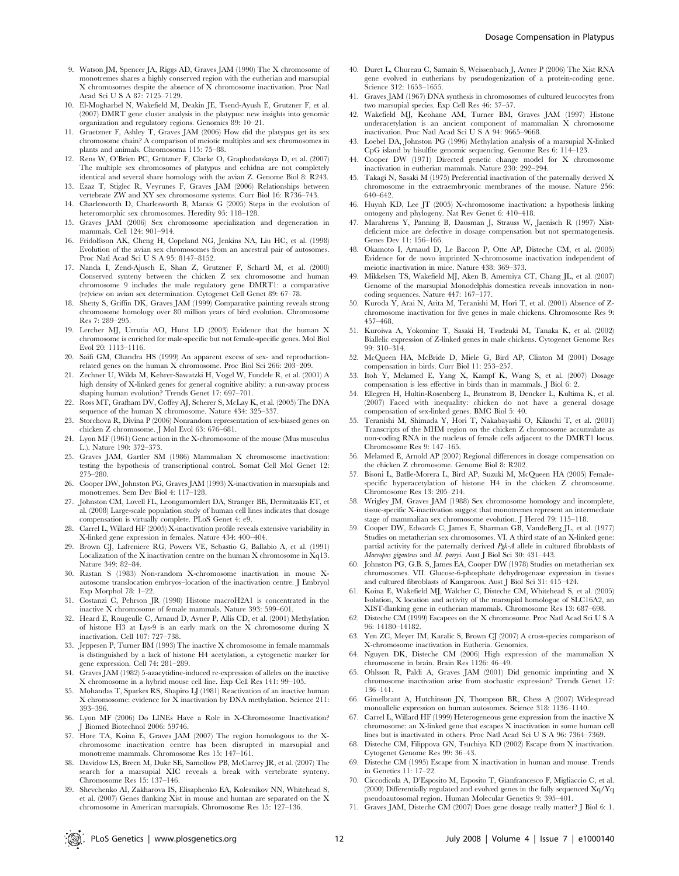- 9. Watson JM, Spencer JA, Riggs AD, Graves JAM (1990) The X chromosome of monotremes shares a highly conserved region with the eutherian and marsupial X chromosomes despite the absence of X chromosome inactivation. Proc Natl Acad Sci U S A 87: 7125–7129.
- 10. El-Mogharbel N, Wakefield M, Deakin JE, Tsend-Ayush E, Grutzner F, et al. (2007) DMRT gene cluster analysis in the platypus: new insights into genomic organization and regulatory regions. Genomics 89: 10–21.
- 11. Gruetzner F, Ashley T, Graves JAM (2006) How did the platypus get its sex chromosome chain? A comparison of meiotic multiples and sex chromosomes in plants and animals. Chromosoma 115: 75–88.
- 12. Rens W, O'Brien PC, Grützner F, Clarke O, Graphodatskaya D, et al. (2007) The multiple sex chromosomes of platypus and echidna are not completely identical and several share homology with the avian Z. Genome Biol 8: R243.
- 13. Ezaz T, Stiglec R, Veyrunes F, Graves JAM (2006) Relationships between vertebrate ZW and XY sex chromosome systems. Curr Biol 16: R736–743.
- 14. Charlesworth D, Charlesworth B, Marais G (2005) Steps in the evolution of heteromorphic sex chromosomes. Heredity 95: 118–128.
- 15. Graves JAM (2006) Sex chromosome specialization and degeneration in mammals. Cell 124: 901–914.
- 16. Fridolfsson AK, Cheng H, Copeland NG, Jenkins NA, Liu HC, et al. (1998) Evolution of the avian sex chromosomes from an ancestral pair of autosomes. Proc Natl Acad Sci U S A 95: 8147–8152.
- 17. Nanda I, Zend-Ajusch E, Shan Z, Grutzner F, Schartl M, et al. (2000) Conserved synteny between the chicken Z sex chromosome and human chromosome 9 includes the male regulatory gene DMRT1: a comparative (re)view on avian sex determination. Cytogenet Cell Genet 89: 67–78.
- 18. Shetty S, Griffin DK, Graves JAM (1999) Comparative painting reveals strong chromosome homology over 80 million years of bird evolution. Chromosome Res 7: 289–295.
- 19. Lercher MJ, Urrutia AO, Hurst LD (2003) Evidence that the human X chromosome is enriched for male-specific but not female-specific genes. Mol Biol Evol 20: 1113–1116.
- 20. Saifi GM, Chandra HS (1999) An apparent excess of sex- and reproductionrelated genes on the human X chromosome. Proc Biol Sci 266: 203–209.
- 21. Zechner U, Wilda M, Kehrer-Sawatzki H, Vogel W, Fundele R, et al. (2001) A high density of X-linked genes for general cognitive ability: a run-away process shaping human evolution? Trends Genet 17: 697–701.
- 22. Ross MT, Grafham DV, Coffey AJ, Scherer S, McLay K, et al. (2005) The DNA sequence of the human X chromosome. Nature 434: 325–337.
- 23. Storchova R, Divina P (2006) Nonrandom representation of sex-biased genes on chicken Z chromosome. J Mol Evol 63: 676–681.
- 24. Lyon MF (1961) Gene action in the X-chromosome of the mouse (Mus musculus L.). Nature 190: 372–373.
- 25. Graves JAM, Gartler SM (1986) Mammalian X chromosome inactivation: testing the hypothesis of transcriptional control. Somat Cell Mol Genet 12: 275–280.
- 26. Cooper DW, Johnston PG, Graves JAM (1993) X-inactivation in marsupials and monotremes. Sem Dev Biol 4: 117–128.
- 27. Johnston CM, Lovell FL, Leongamornlert DA, Stranger BE, Dermitzakis ET, et al. (2008) Large-scale population study of human cell lines indicates that dosage compensation is virtually complete. PLoS Genet 4: e9.
- 28. Carrel L, Willard HF (2005) X-inactivation profile reveals extensive variability in X-linked gene expression in females. Nature 434: 400–404.
- 29. Brown CJ, Lafreniere RG, Powers VE, Sebastio G, Ballabio A, et al. (1991) Localization of the X inactivation centre on the human X chromosome in Xq13. Nature 349: 82–84.
- 30. Rastan S (1983) Non-random X-chromosome inactivation in mouse Xautosome translocation embryos–location of the inactivation centre. J Embryol Exp Morphol 78: 1–22.
- 31. Costanzi C, Pehrson JR (1998) Histone macroH2A1 is concentrated in the inactive X chromosome of female mammals. Nature 393: 599–601.
- 32. Heard E, Rougeulle C, Arnaud D, Avner P, Allis CD, et al. (2001) Methylation of histone H3 at Lys-9 is an early mark on the X chromosome during X inactivation. Cell 107: 727–738.
- 33. Jeppesen P, Turner BM (1993) The inactive X chromosome in female mammals is distinguished by a lack of histone H4 acetylation, a cytogenetic marker for gene expression. Cell 74: 281–289.
- 34. Graves JAM (1982) 5-azacytidine-induced re-expression of alleles on the inactive X chromosome in a hybrid mouse cell line. Exp Cell Res 141: 99–105.
- 35. Mohandas T, Sparkes RS, Shapiro LJ (1981) Reactivation of an inactive human X chromosome: evidence for X inactivation by DNA methylation. Science 211: 393–396.
- 36. Lyon MF (2006) Do LINEs Have a Role in X-Chromosome Inactivation? J Biomed Biotechnol 2006: 59746.
- 37. Hore TA, Koina E, Graves JAM (2007) The region homologous to the Xchromosome inactivation centre has been disrupted in marsupial and monotreme mammals. Chromosome Res 15: 147–161.
- 38. Davidow LS, Breen M, Duke SE, Samollow PB, McCarrey JR, et al. (2007) The search for a marsupial XIC reveals a break with vertebrate synteny. Chromosome Res 15: 137–146.
- 39. Shevchenko AI, Zakharova IS, Elisaphenko EA, Kolesnikov NN, Whitehead S, et al. (2007) Genes flanking Xist in mouse and human are separated on the X chromosome in American marsupials. Chromosome Res 15: 127–136.

Dosage Compensation in Platypus

- 40. Duret L, Chureau C, Samain S, Weissenbach J, Avner P (2006) The Xist RNA gene evolved in eutherians by pseudogenization of a protein-coding gene. Science 312: 1653–1655.
- 41. Graves JAM (1967) DNA synthesis in chromosomes of cultured leucocytes from two marsupial species. Exp Cell Res 46: 37–57.
- 42. Wakefield MJ, Keohane AM, Turner BM, Graves JAM (1997) Histone underacetylation is an ancient component of mammalian X chromosome inactivation. Proc Natl Acad Sci U S A 94: 9665–9668.
- 43. Loebel DA, Johnston PG (1996) Methylation analysis of a marsupial X-linked CpG island by bisulfite genomic sequencing. Genome Res 6: 114–123.
- 44. Cooper DW (1971) Directed genetic change model for X chromosome inactivation in eutherian mammals. Nature 230: 292–294.
- 45. Takagi N, Sasaki M (1975) Preferential inactivation of the paternally derived X chromosome in the extraembryonic membranes of the mouse. Nature 256: 640–642.
- 46. Huynh KD, Lee JT (2005) X-chromosome inactivation: a hypothesis linking ontogeny and phylogeny. Nat Rev Genet 6: 410–418.
- 47. Marahrens Y, Panning B, Dausman J, Strauss W, Jaenisch R (1997) Xistdeficient mice are defective in dosage compensation but not spermatogenesis. Genes Dev 11: 156–166.
- 48. Okamoto I, Arnaud D, Le Baccon P, Otte AP, Disteche CM, et al. (2005) Evidence for de novo imprinted X-chromosome inactivation independent of meiotic inactivation in mice. Nature 438: 369–373.
- 49. Mikkelsen TS, Wakefield MJ, Aken B, Amemiya CT, Chang JL, et al. (2007) Genome of the marsupial Monodelphis domestica reveals innovation in noncoding sequences. Nature 447: 167–177.
- 50. Kuroda Y, Arai N, Arita M, Teranishi M, Hori T, et al. (2001) Absence of Zchromosome inactivation for five genes in male chickens. Chromosome Res 9: 457–468.
- 51. Kuroiwa A, Yokomine T, Sasaki H, Tsudzuki M, Tanaka K, et al. (2002) Biallelic expression of Z-linked genes in male chickens. Cytogenet Genome Res 99: 310–314.
- 52. McQueen HA, McBride D, Miele G, Bird AP, Clinton M (2001) Dosage compensation in birds. Curr Biol 11: 253–257.
- 53. Itoh Y, Melamed E, Yang X, Kampf K, Wang S, et al. (2007) Dosage compensation is less effective in birds than in mammals. J Biol 6: 2.
- 54. Ellegren H, Hultin-Rosenberg L, Brunstrom B, Dencker L, Kultima K, et al. (2007) Faced with inequality: chicken do not have a general dosage compensation of sex-linked genes. BMC Biol 5: 40.
- 55. Teranishi M, Shimada Y, Hori T, Nakabayashi O, Kikuchi T, et al. (2001) Transcripts of the MHM region on the chicken Z chromosome accumulate as non-coding RNA in the nucleus of female cells adjacent to the DMRT1 locus. Chromosome Res 9: 147–165.
- 56. Melamed E, Arnold AP (2007) Regional differences in dosage compensation on the chicken Z chromosome. Genome Biol 8: R202.
- 57. Bisoni L, Batlle-Morera L, Bird AP, Suzuki M, McQueen HA (2005) Femalespecific hyperacetylation of histone H4 in the chicken Z chromosome. Chromosome Res 13: 205–214.
- 58. Wrigley JM, Graves JAM (1988) Sex chromosome homology and incomplete, tissue-specific X-inactivation suggest that monotremes represent an intermediate stage of mammalian sex chromosome evolution. J Hered 79: 115–118.
- 59. Cooper DW, Edwards C, James E, Sharman GB, VandeBerg JL, et al. (1977) Studies on metatherian sex chromosomes. VI. A third state of an X-linked gene: partial activity for the paternally derived Pgk-A allele in cultured fibroblasts of Macropus giganteus and M. parryi. Aust J Biol Sci 30: 431–443.
- 60. Johnston PG, G.B. S, James EA, Cooper DW (1978) Studies on metatherian sex chromosomes. VII. Glucose-6-phosphate dehydrogenase expression in tissues and cultured fibroblasts of Kangaroos. Aust J Biol Sci 31: 415–424.
- 61. Koina E, Wakefield MJ, Walcher C, Disteche CM, Whitehead S, et al. (2005) Isolation, X location and activity of the marsupial homologue of SLC16A2, an XIST-flanking gene in eutherian mammals. Chromosome Res 13: 687–698.
- 62. Disteche CM (1999) Escapees on the X chromosome. Proc Natl Acad Sci U S A 96: 14180–14182.
- 63. Yen ZC, Meyer IM, Karalic S, Brown CJ (2007) A cross-species comparison of X-chromosome inactivation in Eutheria. Genomics.
- 64. Nguyen DK, Disteche CM (2006) High expression of the mammalian X chromosome in brain. Brain Res 1126: 46–49.
- 65. Ohlsson R, Paldi A, Graves JAM (2001) Did genomic imprinting and X chromosome inactivation arise from stochastic expression? Trends Genet 17: 136–141.
- 66. Gimelbrant A, Hutchinson JN, Thompson BR, Chess A (2007) Widespread monoallelic expression on human autosomes. Science 318: 1136–1140.
- 67. Carrel L, Willard HF (1999) Heterogeneous gene expression from the inactive X chromosome: an X-linked gene that escapes X inactivation in some human cell lines but is inactivated in others. Proc Natl Acad Sci U S A 96: 7364–7369.
- 68. Disteche CM, Filippova GN, Tsuchiya KD (2002) Escape from X inactivation. Cytogenet Genome Res 99: 36–43.
- 69. Disteche CM (1995) Escape from X inactivation in human and mouse. Trends in Genetics 11: 17–22.
- 70. Ciccodicola A, D'Esposito M, Esposito T, Gianfrancesco F, Migliaccio C, et al. (2000) Differentially regulated and evolved genes in the fully sequenced Xq/Yq pseudoautosomal region. Human Molecular Genetics 9: 395–401.
- 71. Graves JAM, Disteche CM (2007) Does gene dosage really matter? J Biol 6: 1.